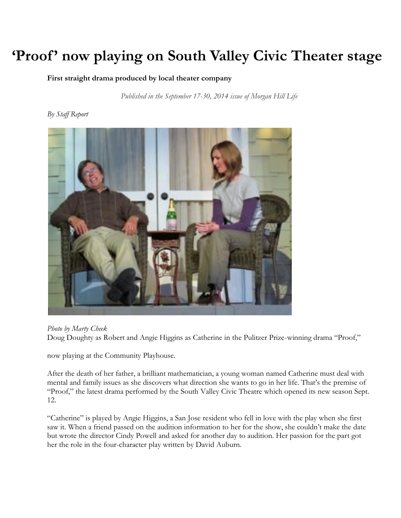# **'Proof' now playing on South Valley Civic Theater stage**

**First straight drama produced by local theater company**

*Published in the September 17-30, 2014 issue of Morgan Hill Life*

#### *By Staff Report*



*Photo by Marty Cheek*

Doug Doughty as Robert and Angie Higgins as Catherine in the Pulitzer Prize-winning drama "Proof,"

now playing at the Community Playhouse.

After the death of her father, a brilliant mathematician, a young woman named Catherine must deal with mental and family issues as she discovers what direction she wants to go in her life. That's the premise of "Proof," the latest drama performed by the South Valley Civic Theatre which opened its new season Sept. 12.

"Catherine" is played by Angie Higgins, a San Jose resident who fell in love with the play when she first saw it. When a friend passed on the audition information to her for the show, she couldn't make the date but wrote the director Cindy Powell and asked for another day to audition. Her passion for the part got her the role in the four-character play written by David Auburn.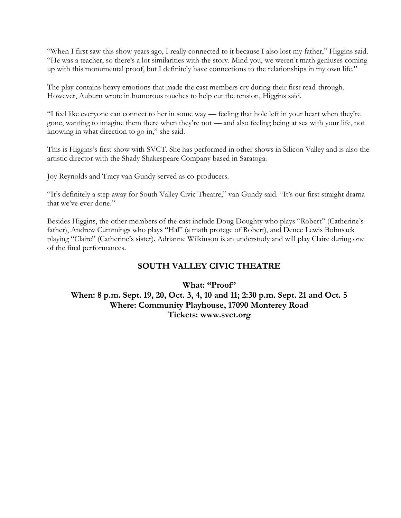"When I first saw this show years ago, I really connected to it because I also lost my father," Higgins said. "He was a teacher, so there's a lot similarities with the story. Mind you, we weren't math geniuses coming up with this monumental proof, but I definitely have connections to the relationships in my own life."

The play contains heavy emotions that made the cast members cry during their first read-through. However, Auburn wrote in humorous touches to help cut the tension, Higgins said.

"I feel like everyone can connect to her in some way — feeling that hole left in your heart when they're gone, wanting to imagine them there when they're not — and also feeling being at sea with your life, not knowing in what direction to go in," she said.

This is Higgins's first show with SVCT. She has performed in other shows in Silicon Valley and is also the artistic director with the Shady Shakespeare Company based in Saratoga.

Joy Reynolds and Tracy van Gundy served as co-producers.

"It's definitely a step away for South Valley Civic Theatre," van Gundy said. "It's our first straight drama that we've ever done."

Besides Higgins, the other members of the cast include Doug Doughty who plays "Robert" (Catherine's father), Andrew Cummings who plays "Hal" (a math protege of Robert), and Denee Lewis Bohnsack playing "Claire" (Catherine's sister). Adrianne Wilkinson is an understudy and will play Claire during one of the final performances.

#### **SOUTH VALLEY CIVIC THEATRE**

**What: "Proof" When: 8 p.m. Sept. 19, 20, Oct. 3, 4, 10 and 11; 2:30 p.m. Sept. 21 and Oct. 5 Where: Community Playhouse, 17090 Monterey Road Tickets: www.svct.org**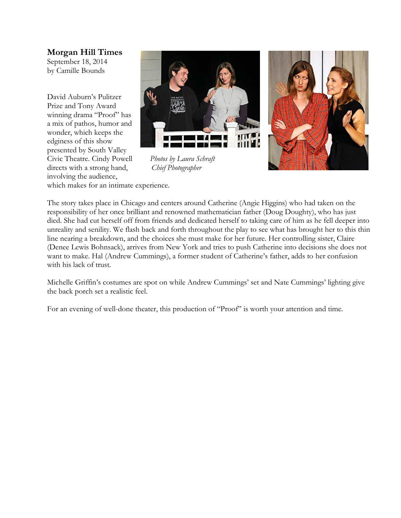**Morgan Hill Times** September 18, 2014 by Camille Bounds

David Auburn's Pulitzer Prize and Tony Award winning drama "Proof" has a mix of pathos, humor and wonder, which keeps the edginess of this show presented by South Valley Civic Theatre. Cindy Powell *Photos by Laura Schraft* directs with a strong hand, *Chief Photographer* involving the audience,





which makes for an intimate experience.

The story takes place in Chicago and centers around Catherine (Angie Higgins) who had taken on the responsibility of her once brilliant and renowned mathematician father (Doug Doughty), who has just died. She had cut herself off from friends and dedicated herself to taking care of him as he fell deeper into unreality and senility. We flash back and forth throughout the play to see what has brought her to this thin line nearing a breakdown, and the choices she must make for her future. Her controlling sister, Claire (Denee Lewis Bohnsack), arrives from New York and tries to push Catherine into decisions she does not want to make. Hal (Andrew Cummings), a former student of Catherine's father, adds to her confusion with his lack of trust.

Michelle Griffin's costumes are spot on while Andrew Cummings' set and Nate Cummings' lighting give the back porch set a realistic feel.

For an evening of well-done theater, this production of "Proof" is worth your attention and time.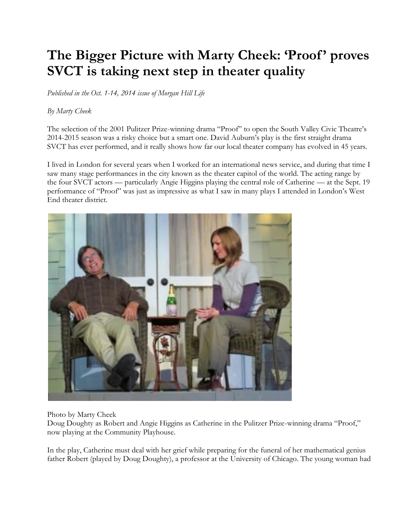### The Bigger Picture with Marty Cheek: 'Proof' proves **SVCT is taking next step in theater quality**

*Published in the Oct. 1-14, 2014 issue of Morgan Hill Life*

#### *By Marty Cheek*

The selection of the 2001 Pulitzer Prize-winning drama "Proof" to open the South Valley Civic Theatre's 2014-2015 season was a risky choice but a smart one. David Auburn's play is the first straight drama SVCT has ever performed, and it really shows how far our local theater company has evolved in 45 years.

I lived in London for several years when I worked for an international news service, and during that time I saw many stage performances in the city known as the theater capitol of the world. The acting range by the four SVCT actors — particularly Angie Higgins playing the central role of Catherine — at the Sept. 19 performance of "Proof" was just as impressive as what I saw in many plays I attended in London's West End theater district.



Photo by Marty Cheek

Doug Doughty as Robert and Angie Higgins as Catherine in the Pulitzer Prize-winning drama "Proof," now playing at the Community Playhouse.

In the play, Catherine must deal with her grief while preparing for the funeral of her mathematical genius father Robert (played by Doug Doughty), a professor at the University of Chicago. The young woman had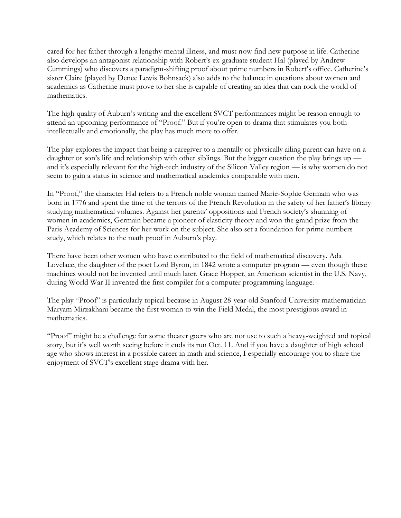cared for her father through a lengthy mental illness, and must now find new purpose in life. Catherine also develops an antagonist relationship with Robert's ex-graduate student Hal (played by Andrew Cummings) who discovers a paradigm-shifting proof about prime numbers in Robert's office. Catherine's sister Claire (played by Denee Lewis Bohnsack) also adds to the balance in questions about women and academics as Catherine must prove to her she is capable of creating an idea that can rock the world of mathematics.

The high quality of Auburn's writing and the excellent SVCT performances might be reason enough to attend an upcoming performance of "Proof." But if you're open to drama that stimulates you both intellectually and emotionally, the play has much more to offer.

The play explores the impact that being a caregiver to a mentally or physically ailing parent can have on a daughter or son's life and relationship with other siblings. But the bigger question the play brings up and it's especially relevant for the high-tech industry of the Silicon Valley region — is why women do not seem to gain a status in science and mathematical academics comparable with men.

In "Proof," the character Hal refers to a French noble woman named Marie-Sophie Germain who was born in 1776 and spent the time of the terrors of the French Revolution in the safety of her father's library studying mathematical volumes. Against her parents' oppositions and French society's shunning of women in academics, Germain became a pioneer of elasticity theory and won the grand prize from the Paris Academy of Sciences for her work on the subject. She also set a foundation for prime numbers study, which relates to the math proof in Auburn's play.

There have been other women who have contributed to the field of mathematical discovery. Ada Lovelace, the daughter of the poet Lord Byron, in 1842 wrote a computer program — even though these machines would not be invented until much later. Grace Hopper, an American scientist in the U.S. Navy, during World War II invented the first compiler for a computer programming language.

The play "Proof" is particularly topical because in August 28-year-old Stanford University mathematician Maryam Mirzakhani became the first woman to win the Field Medal, the most prestigious award in mathematics.

"Proof" might be a challenge for some theater goers who are not use to such a heavy-weighted and topical story, but it's well worth seeing before it ends its run Oct. 11. And if you have a daughter of high school age who shows interest in a possible career in math and science, I especially encourage you to share the enjoyment of SVCT's excellent stage drama with her.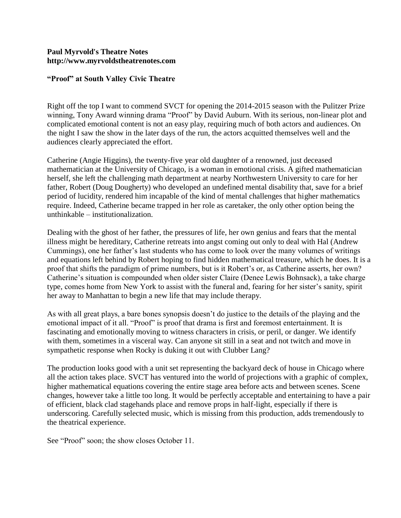#### **Paul Myrvold's Theatre Notes http://www.myrvoldstheatrenotes.com**

#### **"Proof" at South Valley Civic Theatre**

Right off the top I want to commend SVCT for opening the 2014-2015 season with the Pulitzer Prize winning, Tony Award winning drama "Proof" by David Auburn. With its serious, non-linear plot and complicated emotional content is not an easy play, requiring much of both actors and audiences. On the night I saw the show in the later days of the run, the actors acquitted themselves well and the audiences clearly appreciated the effort.

Catherine (Angie Higgins), the twenty-five year old daughter of a renowned, just deceased mathematician at the University of Chicago, is a woman in emotional crisis. A gifted mathematician herself, she left the challenging math department at nearby Northwestern University to care for her father, Robert (Doug Dougherty) who developed an undefined mental disability that, save for a brief period of lucidity, rendered him incapable of the kind of mental challenges that higher mathematics require. Indeed, Catherine became trapped in her role as caretaker, the only other option being the unthinkable – institutionalization.

Dealing with the ghost of her father, the pressures of life, her own genius and fears that the mental illness might be hereditary, Catherine retreats into angst coming out only to deal with Hal (Andrew Cummings), one her father's last students who has come to look over the many volumes of writings and equations left behind by Robert hoping to find hidden mathematical treasure, which he does. It is a proof that shifts the paradigm of prime numbers, but is it Robert's or, as Catherine asserts, her own? Catherine's situation is compounded when older sister Claire (Denee Lewis Bohnsack), a take charge type, comes home from New York to assist with the funeral and, fearing for her sister's sanity, spirit her away to Manhattan to begin a new life that may include therapy.

As with all great plays, a bare bones synopsis doesn't do justice to the details of the playing and the emotional impact of it all. "Proof" is proof that drama is first and foremost entertainment. It is fascinating and emotionally moving to witness characters in crisis, or peril, or danger. We identify with them, sometimes in a visceral way. Can anyone sit still in a seat and not twitch and move in sympathetic response when Rocky is duking it out with Clubber Lang?

The production looks good with a unit set representing the backyard deck of house in Chicago where all the action takes place. SVCT has ventured into the world of projections with a graphic of complex, higher mathematical equations covering the entire stage area before acts and between scenes. Scene changes, however take a little too long. It would be perfectly acceptable and entertaining to have a pair of efficient, black clad stagehands place and remove props in half-light, especially if there is underscoring. Carefully selected music, which is missing from this production, adds tremendously to the theatrical experience.

See "Proof" soon; the show closes October 11.